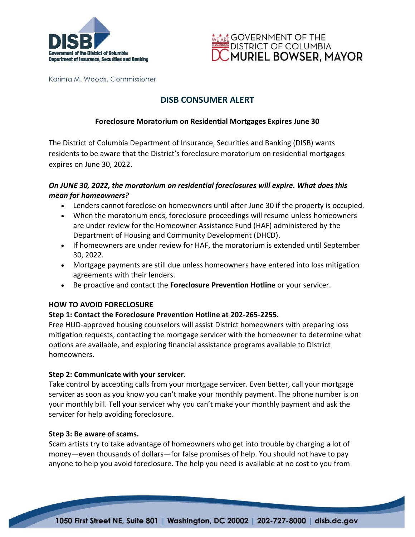



Karima M. Woods, Commissioner

# **DISB CONSUMER ALERT**

## **Foreclosure Moratorium on Residential Mortgages Expires June 30**

The District of Columbia Department of Insurance, Securities and Banking (DISB) wants residents to be aware that the District's foreclosure moratorium on residential mortgages expires on June 30, 2022.

## *On JUNE 30, 2022, the moratorium on residential foreclosures will expire. What does this mean for homeowners?*

- Lenders cannot foreclose on homeowners until after June 30 if the property is occupied.
- When the moratorium ends, foreclosure proceedings will resume unless homeowners are under review for the Homeowner Assistance Fund (HAF) administered by the Department of Housing and Community Development (DHCD).
- If homeowners are under review for HAF, the moratorium is extended until September 30, 2022.
- Mortgage payments are still due unless homeowners have entered into loss mitigation agreements with their lenders.
- Be proactive and contact the **Foreclosure Prevention Hotline** or your servicer.

### **HOW TO AVOID FORECLOSURE**

## **Step 1: Contact the Foreclosure Prevention Hotline at 202-265-2255.**

Free HUD-approved housing counselors will assist District homeowners with preparing loss mitigation requests, contacting the mortgage servicer with the homeowner to determine what options are available, and exploring financial assistance programs available to District homeowners.

### **Step 2: Communicate with your servicer.**

Take control by accepting calls from your mortgage servicer. Even better, call your mortgage servicer as soon as you know you can't make your monthly payment. The phone number is on your monthly bill. Tell your servicer why you can't make your monthly payment and ask the servicer for help avoiding foreclosure.

### **Step 3: Be aware of scams.**

Scam artists try to take advantage of homeowners who get into trouble by charging a lot of money—even thousands of dollars—for false promises of help. You should not have to pay anyone to help you avoid foreclosure. The help you need is available at no cost to you from